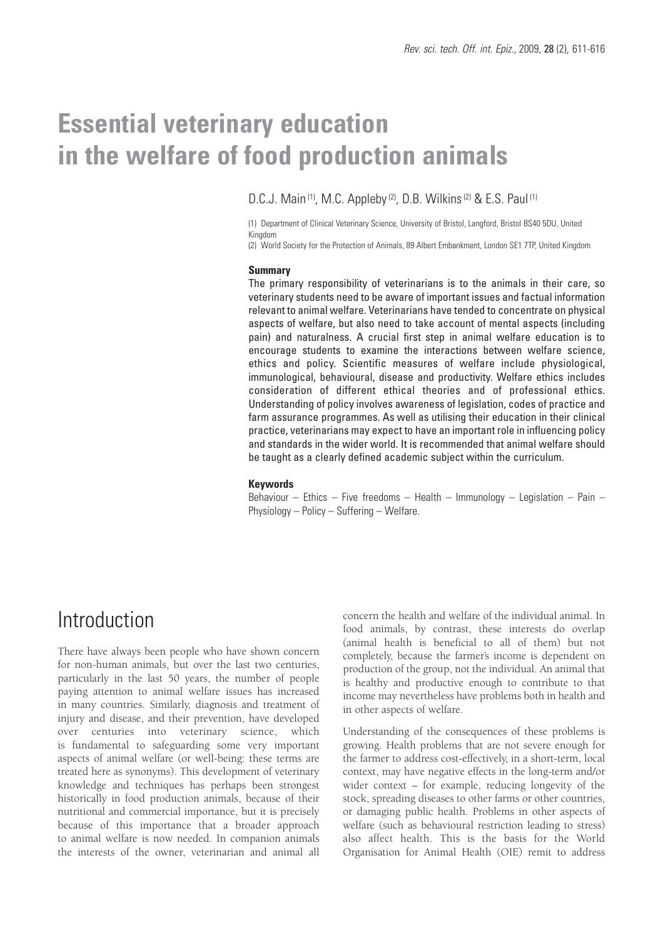# **Essential veterinary education in the welfare of food production animals**

D.C.J. Main<sup>(1)</sup>, M.C. Appleby<sup>(2)</sup>, D.B. Wilkins<sup>(2)</sup> & E.S. Paul<sup>(1)</sup>

(1) Department of Clinical Veterinary Science, University of Bristol, Langford, Bristol BS40 5DU, United Kingdom

(2) World Society for the Protection of Animals, 89 Albert Embankment, London SE1 7TP, United Kingdom

#### **Summary**

The primary responsibility of veterinarians is to the animals in their care, so veterinary students need to be aware of important issues and factual information relevant to animal welfare. Veterinarians have tended to concentrate on physical aspects of welfare, but also need to take account of mental aspects (including pain) and naturalness. A crucial first step in animal welfare education is to encourage students to examine the interactions between welfare science, ethics and policy. Scientific measures of welfare include physiological, immunological, behavioural, disease and productivity. Welfare ethics includes consideration of different ethical theories and of professional ethics. Understanding of policy involves awareness of legislation, codes of practice and farm assurance programmes. As well as utilising their education in their clinical practice, veterinarians may expect to have an important role in influencing policy and standards in the wider world. It is recommended that animal welfare should be taught as a clearly defined academic subject within the curriculum.

#### **Keywords**

Behaviour – Ethics – Five freedoms – Health – Immunology – Legislation – Pain – Physiology – Policy – Suffering – Welfare.

### Introduction

There have always been people who have shown concern for non-human animals, but over the last two centuries, particularly in the last 50 years, the number of people paying attention to animal welfare issues has increased in many countries. Similarly, diagnosis and treatment of injury and disease, and their prevention, have developed over centuries into veterinary science, which is fundamental to safeguarding some very important aspects of animal welfare (or well-being: these terms are treated here as synonyms). This development of veterinary knowledge and techniques has perhaps been strongest historically in food production animals, because of their nutritional and commercial importance, but it is precisely because of this importance that a broader approach to animal welfare is now needed. In companion animals the interests of the owner, veterinarian and animal all

concern the health and welfare of the individual animal. In food animals, by contrast, these interests do overlap (animal health is beneficial to all of them) but not completely, because the farmer's income is dependent on production of the group, not the individual. An animal that is healthy and productive enough to contribute to that income may nevertheless have problems both in health and in other aspects of welfare.

Understanding of the consequences of these problems is growing. Health problems that are not severe enough for the farmer to address cost-effectively, in a short-term, local context, may have negative effects in the long-term and/or wider context – for example, reducing longevity of the stock, spreading diseases to other farms or other countries, or damaging public health. Problems in other aspects of welfare (such as behavioural restriction leading to stress) also affect health. This is the basis for the World Organisation for Animal Health (OIE) remit to address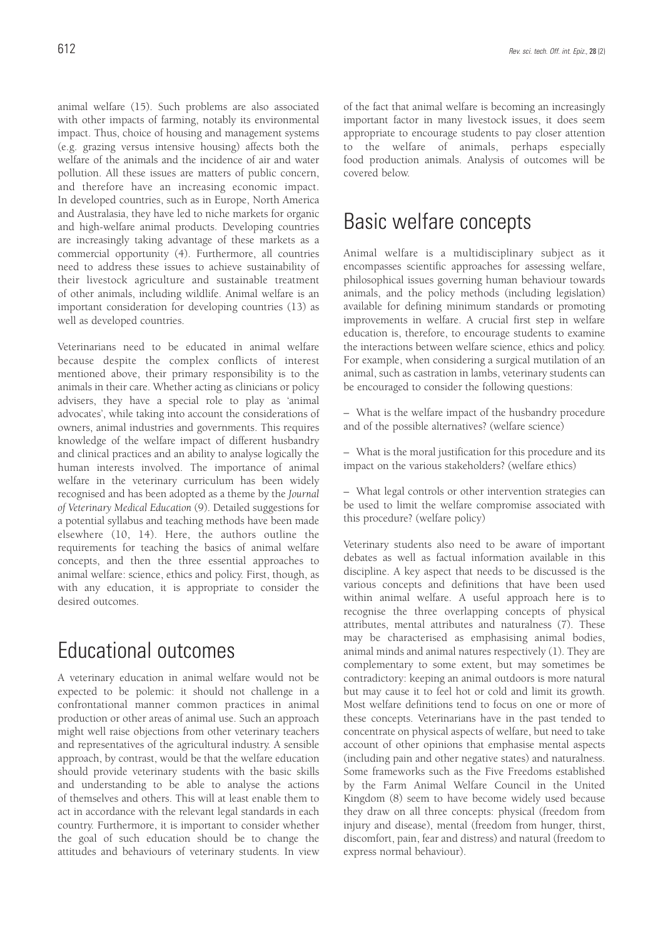animal welfare (15). Such problems are also associated with other impacts of farming, notably its environmental impact. Thus, choice of housing and management systems (e.g. grazing versus intensive housing) affects both the welfare of the animals and the incidence of air and water pollution. All these issues are matters of public concern, and therefore have an increasing economic impact. In developed countries, such as in Europe, North America and Australasia, they have led to niche markets for organic and high-welfare animal products. Developing countries are increasingly taking advantage of these markets as a commercial opportunity (4). Furthermore, all countries need to address these issues to achieve sustainability of their livestock agriculture and sustainable treatment of other animals, including wildlife. Animal welfare is an important consideration for developing countries (13) as well as developed countries.

Veterinarians need to be educated in animal welfare because despite the complex conflicts of interest mentioned above, their primary responsibility is to the animals in their care. Whether acting as clinicians or policy advisers, they have a special role to play as 'animal advocates', while taking into account the considerations of owners, animal industries and governments. This requires knowledge of the welfare impact of different husbandry and clinical practices and an ability to analyse logically the human interests involved. The importance of animal welfare in the veterinary curriculum has been widely recognised and has been adopted as a theme by the *Journal of Veterinary Medical Education* (9). Detailed suggestions for a potential syllabus and teaching methods have been made elsewhere (10, 14). Here, the authors outline the requirements for teaching the basics of animal welfare concepts, and then the three essential approaches to animal welfare: science, ethics and policy. First, though, as with any education, it is appropriate to consider the desired outcomes.

### Educational outcomes

A veterinary education in animal welfare would not be expected to be polemic: it should not challenge in a confrontational manner common practices in animal production or other areas of animal use. Such an approach might well raise objections from other veterinary teachers and representatives of the agricultural industry. A sensible approach, by contrast, would be that the welfare education should provide veterinary students with the basic skills and understanding to be able to analyse the actions of themselves and others. This will at least enable them to act in accordance with the relevant legal standards in each country. Furthermore, it is important to consider whether the goal of such education should be to change the attitudes and behaviours of veterinary students. In view of the fact that animal welfare is becoming an increasingly important factor in many livestock issues, it does seem appropriate to encourage students to pay closer attention to the welfare of animals, perhaps especially food production animals. Analysis of outcomes will be covered below.

### Basic welfare concepts

Animal welfare is a multidisciplinary subject as it encompasses scientific approaches for assessing welfare, philosophical issues governing human behaviour towards animals, and the policy methods (including legislation) available for defining minimum standards or promoting improvements in welfare. A crucial first step in welfare education is, therefore, to encourage students to examine the interactions between welfare science, ethics and policy. For example, when considering a surgical mutilation of an animal, such as castration in lambs, veterinary students can be encouraged to consider the following questions:

– What is the welfare impact of the husbandry procedure and of the possible alternatives? (welfare science)

– What is the moral justification for this procedure and its impact on the various stakeholders? (welfare ethics)

– What legal controls or other intervention strategies can be used to limit the welfare compromise associated with this procedure? (welfare policy)

Veterinary students also need to be aware of important debates as well as factual information available in this discipline. A key aspect that needs to be discussed is the various concepts and definitions that have been used within animal welfare. A useful approach here is to recognise the three overlapping concepts of physical attributes, mental attributes and naturalness (7). These may be characterised as emphasising animal bodies, animal minds and animal natures respectively (1). They are complementary to some extent, but may sometimes be contradictory: keeping an animal outdoors is more natural but may cause it to feel hot or cold and limit its growth. Most welfare definitions tend to focus on one or more of these concepts. Veterinarians have in the past tended to concentrate on physical aspects of welfare, but need to take account of other opinions that emphasise mental aspects (including pain and other negative states) and naturalness. Some frameworks such as the Five Freedoms established by the Farm Animal Welfare Council in the United Kingdom (8) seem to have become widely used because they draw on all three concepts: physical (freedom from injury and disease), mental (freedom from hunger, thirst, discomfort, pain, fear and distress) and natural (freedom to express normal behaviour).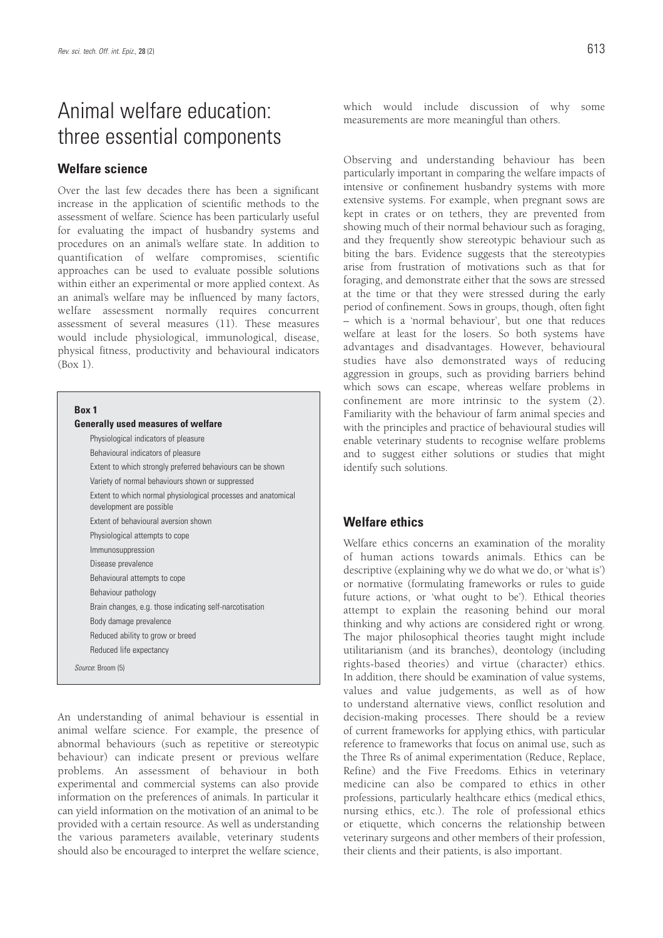# Animal welfare education: three essential components

### **Welfare science**

Over the last few decades there has been a significant increase in the application of scientific methods to the assessment of welfare. Science has been particularly useful for evaluating the impact of husbandry systems and procedures on an animal's welfare state. In addition to quantification of welfare compromises, scientific approaches can be used to evaluate possible solutions within either an experimental or more applied context. As an animal's welfare may be influenced by many factors, welfare assessment normally requires concurrent assessment of several measures (11). These measures would include physiological, immunological, disease, physical fitness, productivity and behavioural indicators  $(Box 1)$ .

#### **Box 1**

| <b>Generally used measures of welfare</b>                                                 |
|-------------------------------------------------------------------------------------------|
| Physiological indicators of pleasure                                                      |
| Behavioural indicators of pleasure                                                        |
| Extent to which strongly preferred behaviours can be shown                                |
| Variety of normal behaviours shown or suppressed                                          |
| Extent to which normal physiological processes and anatomical<br>development are possible |
| Extent of behavioural aversion shown                                                      |
| Physiological attempts to cope                                                            |
| Immunosuppression                                                                         |
| Disease prevalence                                                                        |
| Behavioural attempts to cope                                                              |
| Behaviour pathology                                                                       |
| Brain changes, e.g. those indicating self-narcotisation                                   |
| Body damage prevalence                                                                    |
| Reduced ability to grow or breed                                                          |
| Reduced life expectancy                                                                   |
| Source: Broom (5)                                                                         |

An understanding of animal behaviour is essential in animal welfare science. For example, the presence of abnormal behaviours (such as repetitive or stereotypic behaviour) can indicate present or previous welfare problems. An assessment of behaviour in both experimental and commercial systems can also provide information on the preferences of animals. In particular it can yield information on the motivation of an animal to be provided with a certain resource. As well as understanding the various parameters available, veterinary students should also be encouraged to interpret the welfare science, which would include discussion of why some measurements are more meaningful than others.

Observing and understanding behaviour has been particularly important in comparing the welfare impacts of intensive or confinement husbandry systems with more extensive systems. For example, when pregnant sows are kept in crates or on tethers, they are prevented from showing much of their normal behaviour such as foraging, and they frequently show stereotypic behaviour such as biting the bars. Evidence suggests that the stereotypies arise from frustration of motivations such as that for foraging, and demonstrate either that the sows are stressed at the time or that they were stressed during the early period of confinement. Sows in groups, though, often fight – which is a 'normal behaviour', but one that reduces welfare at least for the losers. So both systems have advantages and disadvantages. However, behavioural studies have also demonstrated ways of reducing aggression in groups, such as providing barriers behind which sows can escape, whereas welfare problems in confinement are more intrinsic to the system (2). Familiarity with the behaviour of farm animal species and with the principles and practice of behavioural studies will enable veterinary students to recognise welfare problems and to suggest either solutions or studies that might identify such solutions.

#### **Welfare ethics**

Welfare ethics concerns an examination of the morality of human actions towards animals. Ethics can be descriptive (explaining why we do what we do, or 'what is') or normative (formulating frameworks or rules to guide future actions, or 'what ought to be'). Ethical theories attempt to explain the reasoning behind our moral thinking and why actions are considered right or wrong. The major philosophical theories taught might include utilitarianism (and its branches), deontology (including rights-based theories) and virtue (character) ethics. In addition, there should be examination of value systems, values and value judgements, as well as of how to understand alternative views, conflict resolution and decision-making processes. There should be a review of current frameworks for applying ethics, with particular reference to frameworks that focus on animal use, such as the Three Rs of animal experimentation (Reduce, Replace, Refine) and the Five Freedoms. Ethics in veterinary medicine can also be compared to ethics in other professions, particularly healthcare ethics (medical ethics, nursing ethics, etc.). The role of professional ethics or etiquette, which concerns the relationship between veterinary surgeons and other members of their profession, their clients and their patients, is also important.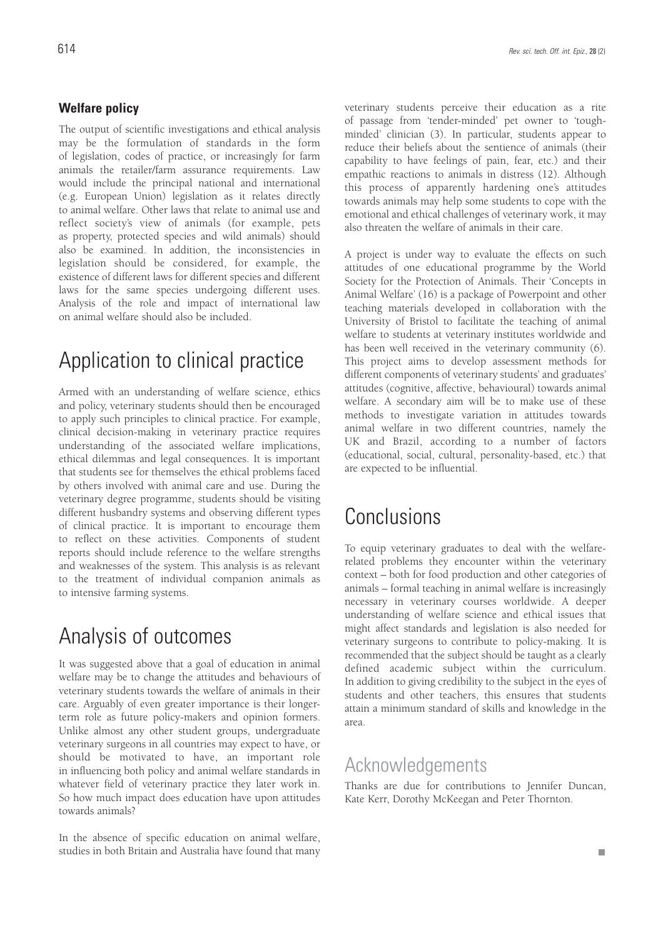### **Welfare policy**

The output of scientific investigations and ethical analysis may be the formulation of standards in the form of legislation, codes of practice, or increasingly for farm animals the retailer/farm assurance requirements. Law would include the principal national and international (e.g. European Union) legislation as it relates directly to animal welfare. Other laws that relate to animal use and reflect society's view of animals (for example, pets as property, protected species and wild animals) should also be examined. In addition, the inconsistencies in legislation should be considered, for example, the existence of different laws for different species and different laws for the same species undergoing different uses. Analysis of the role and impact of international law on animal welfare should also be included.

## Application to clinical practice

Armed with an understanding of welfare science, ethics and policy, veterinary students should then be encouraged to apply such principles to clinical practice. For example, clinical decision-making in veterinary practice requires understanding of the associated welfare implications, ethical dilemmas and legal consequences. It is important that students see for themselves the ethical problems faced by others involved with animal care and use. During the veterinary degree programme, students should be visiting different husbandry systems and observing different types of clinical practice. It is important to encourage them to reflect on these activities. Components of student reports should include reference to the welfare strengths and weaknesses of the system. This analysis is as relevant to the treatment of individual companion animals as to intensive farming systems.

### Analysis of outcomes

It was suggested above that a goal of education in animal welfare may be to change the attitudes and behaviours of veterinary students towards the welfare of animals in their care. Arguably of even greater importance is their longerterm role as future policy-makers and opinion formers. Unlike almost any other student groups, undergraduate veterinary surgeons in all countries may expect to have, or should be motivated to have, an important role in influencing both policy and animal welfare standards in whatever field of veterinary practice they later work in. So how much impact does education have upon attitudes towards animals?

In the absence of specific education on animal welfare, studies in both Britain and Australia have found that many veterinary students perceive their education as a rite of passage from 'tender-minded' pet owner to 'toughminded' clinician (3). In particular, students appear to reduce their beliefs about the sentience of animals (their capability to have feelings of pain, fear, etc.) and their empathic reactions to animals in distress (12). Although this process of apparently hardening one's attitudes towards animals may help some students to cope with the emotional and ethical challenges of veterinary work, it may also threaten the welfare of animals in their care.

A project is under way to evaluate the effects on such attitudes of one educational programme by the World Society for the Protection of Animals. Their 'Concepts in Animal Welfare' (16) is a package of Powerpoint and other teaching materials developed in collaboration with the University of Bristol to facilitate the teaching of animal welfare to students at veterinary institutes worldwide and has been well received in the veterinary community (6). This project aims to develop assessment methods for different components of veterinary students' and graduates' attitudes (cognitive, affective, behavioural) towards animal welfare. A secondary aim will be to make use of these methods to investigate variation in attitudes towards animal welfare in two different countries, namely the UK and Brazil, according to a number of factors (educational, social, cultural, personality-based, etc.) that are expected to be influential.

### Conclusions

To equip veterinary graduates to deal with the welfarerelated problems they encounter within the veterinary context – both for food production and other categories of animals – formal teaching in animal welfare is increasingly necessary in veterinary courses worldwide. A deeper understanding of welfare science and ethical issues that might affect standards and legislation is also needed for veterinary surgeons to contribute to policy-making. It is recommended that the subject should be taught as a clearly defined academic subject within the curriculum. In addition to giving credibility to the subject in the eyes of students and other teachers, this ensures that students attain a minimum standard of skills and knowledge in the area.

### Acknowledgements

Thanks are due for contributions to Jennifer Duncan, Kate Kerr, Dorothy McKeegan and Peter Thornton.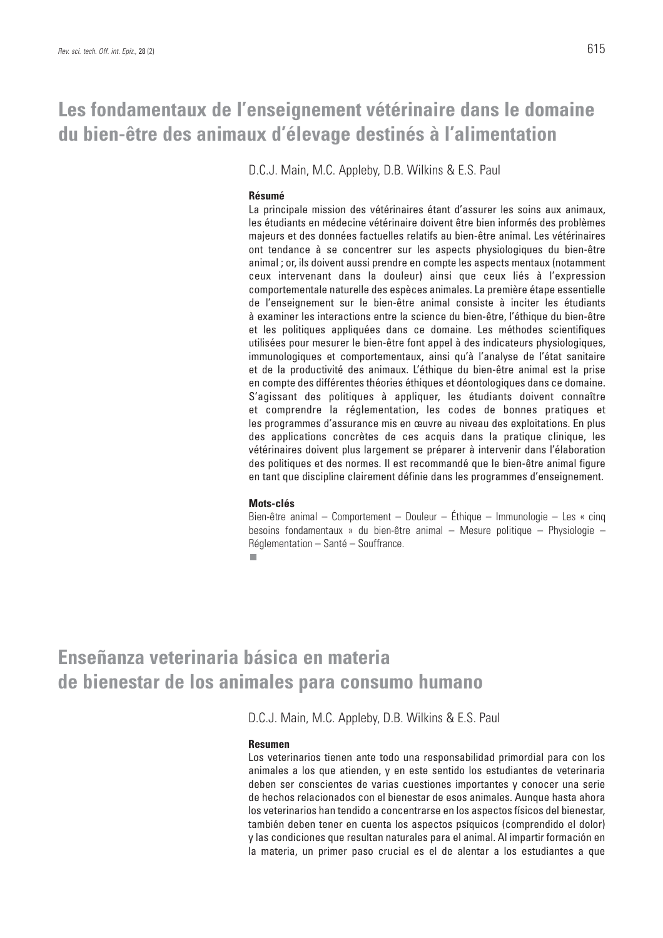### **Les fondamentaux de l'enseignement vétérinaire dans le domaine du bien-être des animaux d'élevage destinés à l'alimentation**

D.C.J. Main, M.C. Appleby, D.B. Wilkins & E.S. Paul

#### **Résumé**

La principale mission des vétérinaires étant d'assurer les soins aux animaux, les étudiants en médecine vétérinaire doivent être bien informés des problèmes majeurs et des données factuelles relatifs au bien-être animal. Les vétérinaires ont tendance à se concentrer sur les aspects physiologiques du bien-être animal ; or, ils doivent aussi prendre en compte les aspects mentaux (notamment ceux intervenant dans la douleur) ainsi que ceux liés à l'expression comportementale naturelle des espèces animales. La première étape essentielle de l'enseignement sur le bien-être animal consiste à inciter les étudiants à examiner les interactions entre la science du bien-être, l'éthique du bien-être et les politiques appliquées dans ce domaine. Les méthodes scientifiques utilisées pour mesurer le bien-être font appel à des indicateurs physiologiques, immunologiques et comportementaux, ainsi qu'à l'analyse de l'état sanitaire et de la productivité des animaux. L'éthique du bien-être animal est la prise en compte des différentes théories éthiques et déontologiques dans ce domaine. S'agissant des politiques à appliquer, les étudiants doivent connaître et comprendre la réglementation, les codes de bonnes pratiques et les programmes d'assurance mis en œuvre au niveau des exploitations. En plus des applications concrètes de ces acquis dans la pratique clinique, les vétérinaires doivent plus largement se préparer à intervenir dans l'élaboration des politiques et des normes. Il est recommandé que le bien-être animal figure en tant que discipline clairement définie dans les programmes d'enseignement.

#### **Mots-clés**

Bien-être animal – Comportement – Douleur – Éthique – Immunologie – Les « cinq besoins fondamentaux » du bien-être animal – Mesure politique – Physiologie – Réglementation – Santé – Souffrance.

п

# **Enseñanza veterinaria básica en materia de bienestar de los animales para consumo humano**

D.C.J. Main, M.C. Appleby, D.B. Wilkins & E.S. Paul

#### **Resumen**

Los veterinarios tienen ante todo una responsabilidad primordial para con los animales a los que atienden, y en este sentido los estudiantes de veterinaria deben ser conscientes de varias cuestiones importantes y conocer una serie de hechos relacionados con el bienestar de esos animales. Aunque hasta ahora los veterinarios han tendido a concentrarse en los aspectos físicos del bienestar, también deben tener en cuenta los aspectos psíquicos (comprendido el dolor) y las condiciones que resultan naturales para el animal. Al impartir formación en la materia, un primer paso crucial es el de alentar a los estudiantes a que